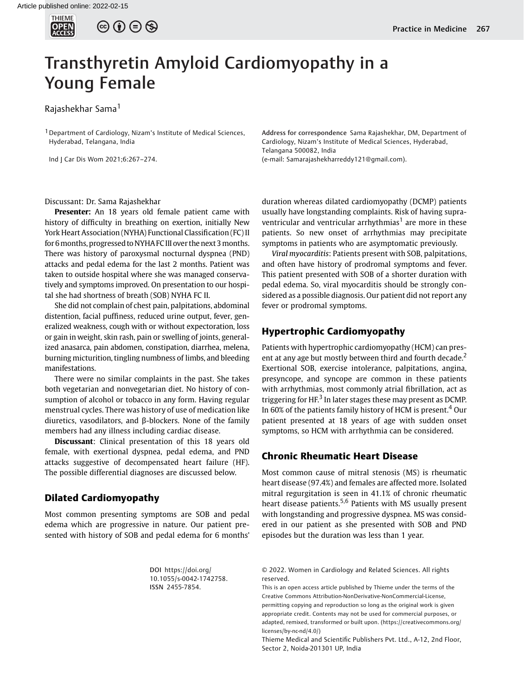# Transthyretin Amyloid Cardiomyopathy in a Young Female

Rajashekhar Sama<sup>1</sup>

<sup>1</sup> Department of Cardiology, Nizam's Institute of Medical Sciences, Hyderabad, Telangana, India

Ind J Car Dis Wom 2021;6:267–274.

Address for correspondence Sama Rajashekhar, DM, Department of Cardiology, Nizam's Institute of Medical Sciences, Hyderabad, Telangana 500082, India (e-mail: [Samarajashekharreddy121@gmail.com\)](mailto:Samarajashekharreddy121@gmail.com).

Discussant: Dr. Sama Rajashekhar

Presenter: An 18 years old female patient came with history of difficulty in breathing on exertion, initially New York Heart Association (NYHA) Functional Classification (FC) II for 6 months, progressed to NYHA FC III over the next 3 months. There was history of paroxysmal nocturnal dyspnea (PND) attacks and pedal edema for the last 2 months. Patient was taken to outside hospital where she was managed conservatively and symptoms improved. On presentation to our hospital she had shortness of breath (SOB) NYHA FC II.

She did not complain of chest pain, palpitations, abdominal distention, facial puffiness, reduced urine output, fever, generalized weakness, cough with or without expectoration, loss or gain in weight, skin rash, pain or swelling of joints, generalized anasarca, pain abdomen, constipation, diarrhea, melena, burning micturition, tingling numbness of limbs, and bleeding manifestations.

There were no similar complaints in the past. She takes both vegetarian and nonvegetarian diet. No history of consumption of alcohol or tobacco in any form. Having regular menstrual cycles. There was history of use of medication like diuretics, vasodilators, and β-blockers. None of the family members had any illness including cardiac disease.

Discussant: Clinical presentation of this 18 years old female, with exertional dyspnea, pedal edema, and PND attacks suggestive of decompensated heart failure (HF). The possible differential diagnoses are discussed below.

## Dilated Cardiomyopathy

Most common presenting symptoms are SOB and pedal edema which are progressive in nature. Our patient presented with history of SOB and pedal edema for 6 months' duration whereas dilated cardiomyopathy (DCMP) patients usually have longstanding complaints. Risk of having supraventricular and ventricular arrhythmias<sup>1</sup> are more in these patients. So new onset of arrhythmias may precipitate symptoms in patients who are asymptomatic previously.

Viral myocarditis: Patients present with SOB, palpitations, and often have history of prodromal symptoms and fever. This patient presented with SOB of a shorter duration with pedal edema. So, viral myocarditis should be strongly considered as a possible diagnosis. Our patient did not report any fever or prodromal symptoms.

# Hypertrophic Cardiomyopathy

Patients with hypertrophic cardiomyopathy (HCM) can present at any age but mostly between third and fourth decade.<sup>2</sup> Exertional SOB, exercise intolerance, palpitations, angina, presyncope, and syncope are common in these patients with arrhythmias, most commonly atrial fibrillation, act as triggering for HF. $3$  In later stages these may present as DCMP. In 60% of the patients family history of HCM is present.<sup>4</sup> Our patient presented at 18 years of age with sudden onset symptoms, so HCM with arrhythmia can be considered.

# Chronic Rheumatic Heart Disease

Most common cause of mitral stenosis (MS) is rheumatic heart disease (97.4%) and females are affected more. Isolated mitral regurgitation is seen in 41.1% of chronic rheumatic heart disease patients.<sup>5,6</sup> Patients with MS usually present with longstanding and progressive dyspnea. MS was considered in our patient as she presented with SOB and PND episodes but the duration was less than 1 year.

DOI [https://doi.org/](https://doi.org/10.1055/s-0042-1742758) [10.1055/s-0042-1742758](https://doi.org/10.1055/s-0042-1742758). ISSN 2455-7854.

© 2022. Women in Cardiology and Related Sciences. All rights reserved.

This is an open access article published by Thieme under the terms of the Creative Commons Attribution-NonDerivative-NonCommercial-License, permitting copying and reproduction so long as the original work is given appropriate credit. Contents may not be used for commercial purposes, or adapted, remixed, transformed or built upon. (https://creativecommons.org/ licenses/by-nc-nd/4.0/)

Thieme Medical and Scientific Publishers Pvt. Ltd., A-12, 2nd Floor, Sector 2, Noida-201301 UP, India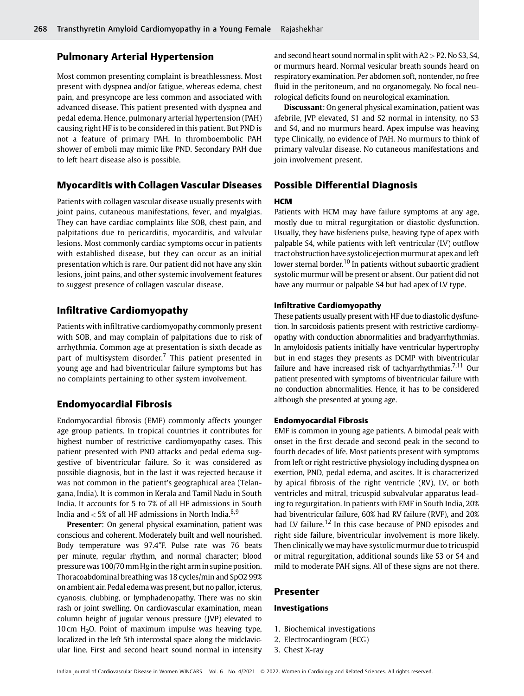# Pulmonary Arterial Hypertension

Most common presenting complaint is breathlessness. Most present with dyspnea and/or fatigue, whereas edema, chest pain, and presyncope are less common and associated with advanced disease. This patient presented with dyspnea and pedal edema. Hence, pulmonary arterial hypertension (PAH) causing right HF is to be considered in this patient. But PND is not a feature of primary PAH. In thromboembolic PAH shower of emboli may mimic like PND. Secondary PAH due to left heart disease also is possible.

# Myocarditis with Collagen Vascular Diseases

Patients with collagen vascular disease usually presents with joint pains, cutaneous manifestations, fever, and myalgias. They can have cardiac complaints like SOB, chest pain, and palpitations due to pericarditis, myocarditis, and valvular lesions. Most commonly cardiac symptoms occur in patients with established disease, but they can occur as an initial presentation which is rare. Our patient did not have any skin lesions, joint pains, and other systemic involvement features to suggest presence of collagen vascular disease.

## Infiltrative Cardiomyopathy

Patients with infiltrative cardiomyopathy commonly present with SOB, and may complain of palpitations due to risk of arrhythmia. Common age at presentation is sixth decade as part of multisystem disorder.<sup>7</sup> This patient presented in young age and had biventricular failure symptoms but has no complaints pertaining to other system involvement.

# Endomyocardial Fibrosis

Endomyocardial fibrosis (EMF) commonly affects younger age group patients. In tropical countries it contributes for highest number of restrictive cardiomyopathy cases. This patient presented with PND attacks and pedal edema suggestive of biventricular failure. So it was considered as possible diagnosis, but in the last it was rejected because it was not common in the patient's geographical area (Telangana, India). It is common in Kerala and Tamil Nadu in South India. It accounts for 5 to 7% of all HF admissions in South India and  $<$  5% of all HF admissions in North India.<sup>8,9</sup>

Presenter: On general physical examination, patient was conscious and coherent. Moderately built and well nourished. Body temperature was 97.4°F. Pulse rate was 76 beats per minute, regular rhythm, and normal character; blood pressurewas 100/70mm Hgin the right armin supine position. Thoracoabdominal breathing was 18 cycles/min and SpO2 99% on ambient air. Pedal edema was present, but no pallor, icterus, cyanosis, clubbing, or lymphadenopathy. There was no skin rash or joint swelling. On cardiovascular examination, mean column height of jugular venous pressure (JVP) elevated to 10 cm  $H<sub>2</sub>$ O. Point of maximum impulse was heaving type, localized in the left 5th intercostal space along the midclavicular line. First and second heart sound normal in intensity

and second heart sound normal in split with  $A2 > P2$ . No S3, S4, or murmurs heard. Normal vesicular breath sounds heard on respiratory examination. Per abdomen soft, nontender, no free fluid in the peritoneum, and no organomegaly. No focal neurological deficits found on neurological examination.

Discussant: On general physical examination, patient was afebrile, JVP elevated, S1 and S2 normal in intensity, no S3 and S4, and no murmurs heard. Apex impulse was heaving type Clinically, no evidence of PAH. No murmurs to think of primary valvular disease. No cutaneous manifestations and join involvement present.

# Possible Differential Diagnosis

#### **HCM**

Patients with HCM may have failure symptoms at any age, mostly due to mitral regurgitation or diastolic dysfunction. Usually, they have bisferiens pulse, heaving type of apex with palpable S4, while patients with left ventricular (LV) outflow tract obstruction have systolic ejection murmur at apex and left lower sternal border.<sup>10</sup> In patients without subaortic gradient systolic murmur will be present or absent. Our patient did not have any murmur or palpable S4 but had apex of LV type.

## Infiltrative Cardiomyopathy

These patients usually present with HF due to diastolic dysfunction. In sarcoidosis patients present with restrictive cardiomyopathy with conduction abnormalities and bradyarrhythmias. In amyloidosis patients initially have ventricular hypertrophy but in end stages they presents as DCMP with biventricular failure and have increased risk of tachyarrhythmias.<sup>7,11</sup> Our patient presented with symptoms of biventricular failure with no conduction abnormalities. Hence, it has to be considered although she presented at young age.

### Endomyocardial Fibrosis

EMF is common in young age patients. A bimodal peak with onset in the first decade and second peak in the second to fourth decades of life. Most patients present with symptoms from left or right restrictive physiology including dyspnea on exertion, PND, pedal edema, and ascites. It is characterized by apical fibrosis of the right ventricle (RV), LV, or both ventricles and mitral, tricuspid subvalvular apparatus leading to regurgitation. In patients with EMF in South India, 20% had biventricular failure, 60% had RV failure (RVF), and 20% had LV failure.<sup>12</sup> In this case because of PND episodes and right side failure, biventricular involvement is more likely. Then clinically we may have systolic murmur due to tricuspid or mitral regurgitation, additional sounds like S3 or S4 and mild to moderate PAH signs. All of these signs are not there.

## Presenter

### Investigations

- 1. Biochemical investigations
- 2. Electrocardiogram (ECG)
- 3. Chest X-ray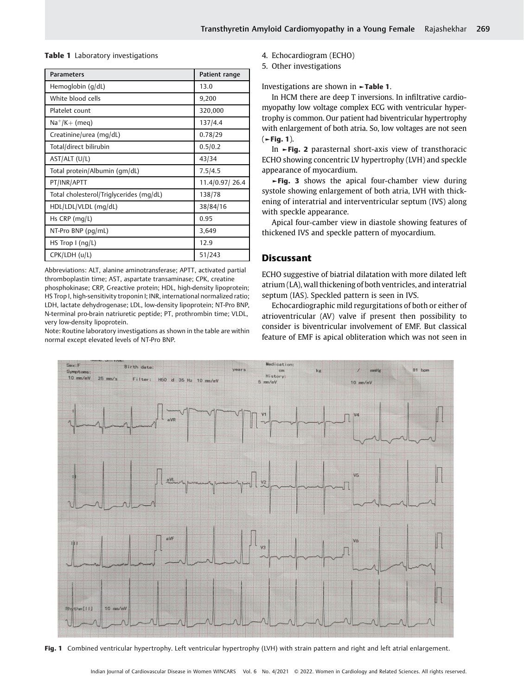Table 1 Laboratory investigations

| <b>Parameters</b>                       | Patient range  |
|-----------------------------------------|----------------|
| Hemoglobin (g/dL)                       | 13.0           |
| White blood cells                       | 9,200          |
| Platelet count                          | 320,000        |
| $Na^{+}/K+$ (meg)                       | 137/4.4        |
| Creatinine/urea (mg/dL)                 | 0.78/29        |
| Total/direct bilirubin                  | 0.5/0.2        |
| AST/ALT (U/L)                           | 43/34          |
| Total protein/Albumin (gm/dL)           | 7.5/4.5        |
| PT/INR/APTT                             | 11.4/0.97/26.4 |
| Total cholesterol/Triglycerides (mg/dL) | 138/78         |
| HDL/LDL/VLDL (mg/dL)                    | 38/84/16       |
| Hs $CRP$ (mg/L)                         | 0.95           |
| NT-Pro BNP $(pq/mL)$                    | 3,649          |
| HS Trop I (ng/L)                        | 12.9           |
| CPK/LDH (u/L)                           | 51/243         |

Abbreviations: ALT, alanine aminotransferase; APTT, activated partial thromboplastin time; AST, aspartate transaminase; CPK, creatine phosphokinase; CRP, C-reactive protein; HDL, high-density lipoprotein; HS Trop I, high-sensitivity troponin I; INR, international normalized ratio; LDH, lactate dehydrogenase; LDL, low-density lipoprotein; NT-Pro BNP, N-terminal pro-brain natriuretic peptide; PT, prothrombin time; VLDL, very low-density lipoprotein.

Note: Routine laboratory investigations as shown in the table are within normal except elevated levels of NT-Pro BNP.

4. Echocardiogram (ECHO)

5. Other investigations

Investigations are shown in ►Table 1.

In HCM there are deep T inversions. In infiltrative cardiomyopathy low voltage complex ECG with ventricular hypertrophy is common. Our patient had biventricular hypertrophy with enlargement of both atria. So, low voltages are not seen  $($   $\blacktriangleright$  Fig. 1).

In ►Fig. 2 parasternal short-axis view of transthoracic ECHO showing concentric LV hypertrophy (LVH) and speckle appearance of myocardium.

►Fig. 3 shows the apical four-chamber view during systole showing enlargement of both atria, LVH with thickening of interatrial and interventricular septum (IVS) along with speckle appearance.

Apical four-camber view in diastole showing features of thickened IVS and speckle pattern of myocardium.

# **Discussant**

ECHO suggestive of biatrial dilatation with more dilated left atrium (LA), wall thickening of both ventricles, and interatrial septum (IAS). Speckled pattern is seen in IVS.

Echocardiographic mild regurgitations of both or either of atrioventricular (AV) valve if present then possibility to consider is biventricular involvement of EMF. But classical feature of EMF is apical obliteration which was not seen in



Fig. 1 Combined ventricular hypertrophy. Left ventricular hypertrophy (LVH) with strain pattern and right and left atrial enlargement.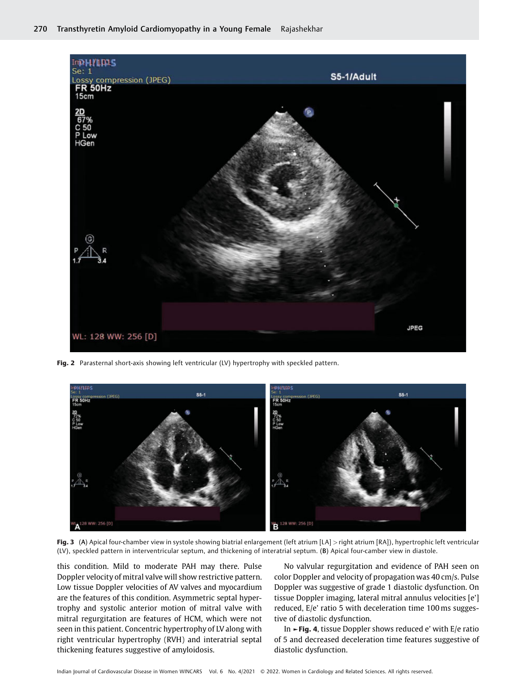

Fig. 2 Parasternal short-axis showing left ventricular (LV) hypertrophy with speckled pattern.



Fig. 3 (A) Apical four-chamber view in systole showing biatrial enlargement (left atrium [LA] > right atrium [RA]), hypertrophic left ventricular (LV), speckled pattern in interventricular septum, and thickening of interatrial septum. (B) Apical four-camber view in diastole.

this condition. Mild to moderate PAH may there. Pulse Doppler velocity of mitral valve will show restrictive pattern. Low tissue Doppler velocities of AV valves and myocardium are the features of this condition. Asymmetric septal hypertrophy and systolic anterior motion of mitral valve with mitral regurgitation are features of HCM, which were not seen in this patient. Concentric hypertrophy of LV along with right ventricular hypertrophy (RVH) and interatrial septal thickening features suggestive of amyloidosis.

No valvular regurgitation and evidence of PAH seen on color Doppler and velocity of propagation was 40 cm/s. Pulse Doppler was suggestive of grade 1 diastolic dysfunction. On tissue Doppler imaging, lateral mitral annulus velocities [e'] reduced, E/e' ratio 5 with deceleration time 100 ms suggestive of diastolic dysfunction.

In ►Fig. 4, tissue Doppler shows reduced e' with E/e ratio of 5 and decreased deceleration time features suggestive of diastolic dysfunction.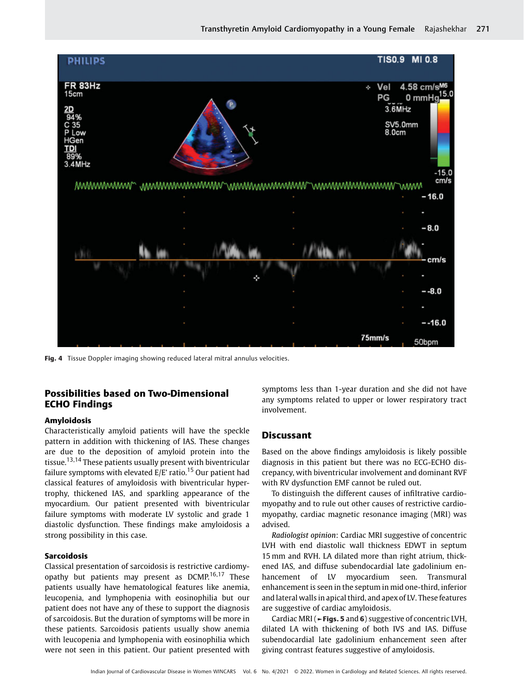

Fig. 4 Tissue Doppler imaging showing reduced lateral mitral annulus velocities.

# Possibilities based on Two-Dimensional ECHO Findings

## Amyloidosis

Characteristically amyloid patients will have the speckle pattern in addition with thickening of IAS. These changes are due to the deposition of amyloid protein into the tissue.<sup>13,14</sup> These patients usually present with biventricular failure symptoms with elevated  $E/E'$  ratio.<sup>15</sup> Our patient had classical features of amyloidosis with biventricular hypertrophy, thickened IAS, and sparkling appearance of the myocardium. Our patient presented with biventricular failure symptoms with moderate LV systolic and grade 1 diastolic dysfunction. These findings make amyloidosis a strong possibility in this case.

#### Sarcoidosis

Classical presentation of sarcoidosis is restrictive cardiomyopathy but patients may present as  $DCMP<sub>16,17</sub>$  These patients usually have hematological features like anemia, leucopenia, and lymphopenia with eosinophilia but our patient does not have any of these to support the diagnosis of sarcoidosis. But the duration of symptoms will be more in these patients. Sarcoidosis patients usually show anemia with leucopenia and lymphopenia with eosinophilia which were not seen in this patient. Our patient presented with

symptoms less than 1-year duration and she did not have any symptoms related to upper or lower respiratory tract involvement.

## **Discussant**

Based on the above findings amyloidosis is likely possible diagnosis in this patient but there was no ECG-ECHO discrepancy, with biventricular involvement and dominant RVF with RV dysfunction EMF cannot be ruled out.

To distinguish the different causes of infiltrative cardiomyopathy and to rule out other causes of restrictive cardiomyopathy, cardiac magnetic resonance imaging (MRI) was advised.

Radiologist opinion: Cardiac MRI suggestive of concentric LVH with end diastolic wall thickness EDWT in septum 15 mm and RVH. LA dilated more than right atrium, thickened IAS, and diffuse subendocardial late gadolinium enhancement of LV myocardium seen. Transmural enhancement is seen in the septum in mid one-third, inferior and lateral walls in apical third, and apex of LV. These features are suggestive of cardiac amyloidosis.

Cardiac MRI (►Figs. 5 and 6) suggestive of concentric LVH, dilated LA with thickening of both IVS and IAS. Diffuse subendocardial late gadolinium enhancement seen after giving contrast features suggestive of amyloidosis.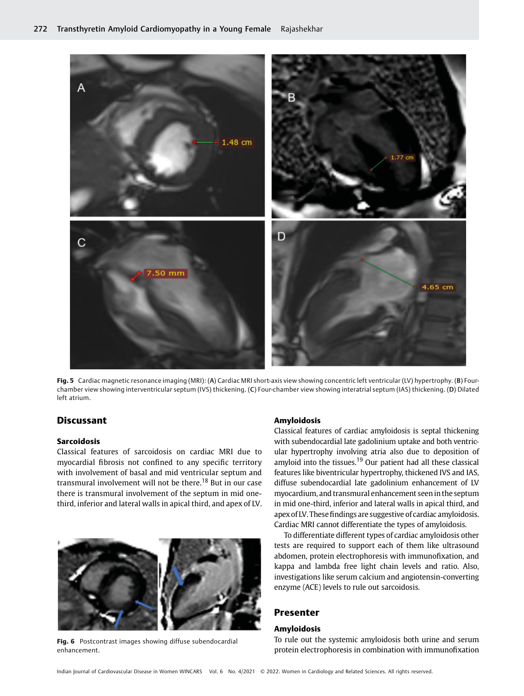

Fig. 5 Cardiac magnetic resonance imaging (MRI): (A) Cardiac MRI short-axis view showing concentric left ventricular (LV) hypertrophy. (B) Fourchamber view showing interventricular septum (IVS) thickening. (C) Four-chamber view showing interatrial septum (IAS) thickening. (D) Dilated left atrium.

# **Discussant**

#### Sarcoidosis

Classical features of sarcoidosis on cardiac MRI due to myocardial fibrosis not confined to any specific territory with involvement of basal and mid ventricular septum and transmural involvement will not be there.<sup>18</sup> But in our case there is transmural involvement of the septum in mid onethird, inferior and lateral walls in apical third, and apex of LV.



Fig. 6 Postcontrast images showing diffuse subendocardial enhancement.

#### Amyloidosis

Classical features of cardiac amyloidosis is septal thickening with subendocardial late gadolinium uptake and both ventricular hypertrophy involving atria also due to deposition of amyloid into the tissues.<sup>19</sup> Our patient had all these classical features like biventricular hypertrophy, thickened IVS and IAS, diffuse subendocardial late gadolinium enhancement of LV myocardium, and transmural enhancement seenin the septum in mid one-third, inferior and lateral walls in apical third, and apex of LV. These findings are suggestive of cardiac amyloidosis. Cardiac MRI cannot differentiate the types of amyloidosis.

To differentiate different types of cardiac amyloidosis other tests are required to support each of them like ultrasound abdomen, protein electrophoresis with immunofixation, and kappa and lambda free light chain levels and ratio. Also, investigations like serum calcium and angiotensin-converting enzyme (ACE) levels to rule out sarcoidosis.

# Presenter

## Amyloidosis

To rule out the systemic amyloidosis both urine and serum protein electrophoresis in combination with immunofixation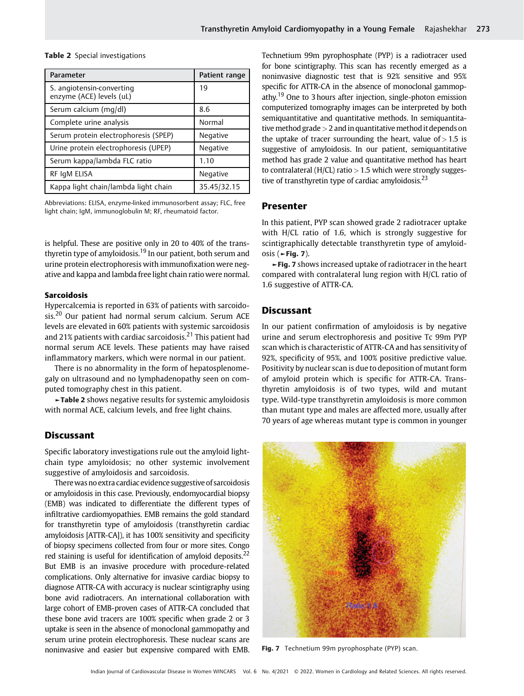| Parameter                                             | Patient range |
|-------------------------------------------------------|---------------|
| S. angiotensin-converting<br>enzyme (ACE) levels (uL) | 19            |
| Serum calcium (mg/dl)                                 | 8.6           |
| Complete urine analysis                               | Normal        |
| Serum protein electrophoresis (SPEP)                  | Negative      |
| Urine protein electrophoresis (UPEP)                  | Negative      |
| Serum kappa/lambda FLC ratio                          | 1.10          |
| RF IgM ELISA                                          | Negative      |
| Kappa light chain/lambda light chain                  | 35.45/32.15   |

#### Table 2 Special investigations

Abbreviations: ELISA, enzyme-linked immunosorbent assay; FLC, free light chain; IgM, immunoglobulin M; RF, rheumatoid factor.

is helpful. These are positive only in 20 to 40% of the transthyretin type of amyloidosis.<sup>19</sup> In our patient, both serum and urine protein electrophoresis with immunofixation were negative and kappa and lambda free light chain ratio were normal.

## Sarcoidosis

Hypercalcemia is reported in 63% of patients with sarcoidosis.<sup>20</sup> Our patient had normal serum calcium. Serum ACE levels are elevated in 60% patients with systemic sarcoidosis and 21% patients with cardiac sarcoidosis.<sup>21</sup> This patient had normal serum ACE levels. These patients may have raised inflammatory markers, which were normal in our patient.

There is no abnormality in the form of hepatosplenomegaly on ultrasound and no lymphadenopathy seen on computed tomography chest in this patient.

►Table 2 shows negative results for systemic amyloidosis with normal ACE, calcium levels, and free light chains.

### **Discussant**

Specific laboratory investigations rule out the amyloid lightchain type amyloidosis; no other systemic involvement suggestive of amyloidosis and sarcoidosis.

Therewas no extra cardiac evidence suggestive of sarcoidosis or amyloidosis in this case. Previously, endomyocardial biopsy (EMB) was indicated to differentiate the different types of infiltrative cardiomyopathies. EMB remains the gold standard for transthyretin type of amyloidosis (transthyretin cardiac amyloidosis [ATTR-CA]), it has 100% sensitivity and specificity of biopsy specimens collected from four or more sites. Congo red staining is useful for identification of amyloid deposits.<sup>22</sup> But EMB is an invasive procedure with procedure-related complications. Only alternative for invasive cardiac biopsy to diagnose ATTR-CA with accuracy is nuclear scintigraphy using bone avid radiotracers. An international collaboration with large cohort of EMB-proven cases of ATTR-CA concluded that these bone avid tracers are 100% specific when grade 2 or 3 uptake is seen in the absence of monoclonal gammopathy and serum urine protein electrophoresis. These nuclear scans are noninvasive and easier but expensive compared with EMB.

Technetium 99m pyrophosphate (PYP) is a radiotracer used for bone scintigraphy. This scan has recently emerged as a noninvasive diagnostic test that is 92% sensitive and 95% specific for ATTR-CA in the absence of monoclonal gammopathy.<sup>19</sup> One to 3 hours after injection, single-photon emission computerized tomography images can be interpreted by both semiquantitative and quantitative methods. In semiquantitative method grade  $>$  2 and in quantitative method it depends on the uptake of tracer surrounding the heart, value of  $> 1.5$  is suggestive of amyloidosis. In our patient, semiquantitative method has grade 2 value and quantitative method has heart to contralateral (H/CL) ratio  $> 1.5$  which were strongly suggestive of transthyretin type of cardiac amyloidosis.<sup>23</sup>

### Presenter

In this patient, PYP scan showed grade 2 radiotracer uptake with H/CL ratio of 1.6, which is strongly suggestive for scintigraphically detectable transthyretin type of amyloidosis ( $\blacktriangleright$ Fig. 7).

►Fig. 7 shows increased uptake of radiotracer in the heart compared with contralateral lung region with H/CL ratio of 1.6 suggestive of ATTR-CA.

## **Discussant**

In our patient confirmation of amyloidosis is by negative urine and serum electrophoresis and positive Tc 99m PYP scan which is characteristic of ATTR-CA and has sensitivity of 92%, specificity of 95%, and 100% positive predictive value. Positivity by nuclear scan is due to deposition of mutant form of amyloid protein which is specific for ATTR-CA. Transthyretin amyloidosis is of two types, wild and mutant type. Wild-type transthyretin amyloidosis is more common than mutant type and males are affected more, usually after 70 years of age whereas mutant type is common in younger



Fig. 7 Technetium 99m pyrophosphate (PYP) scan.